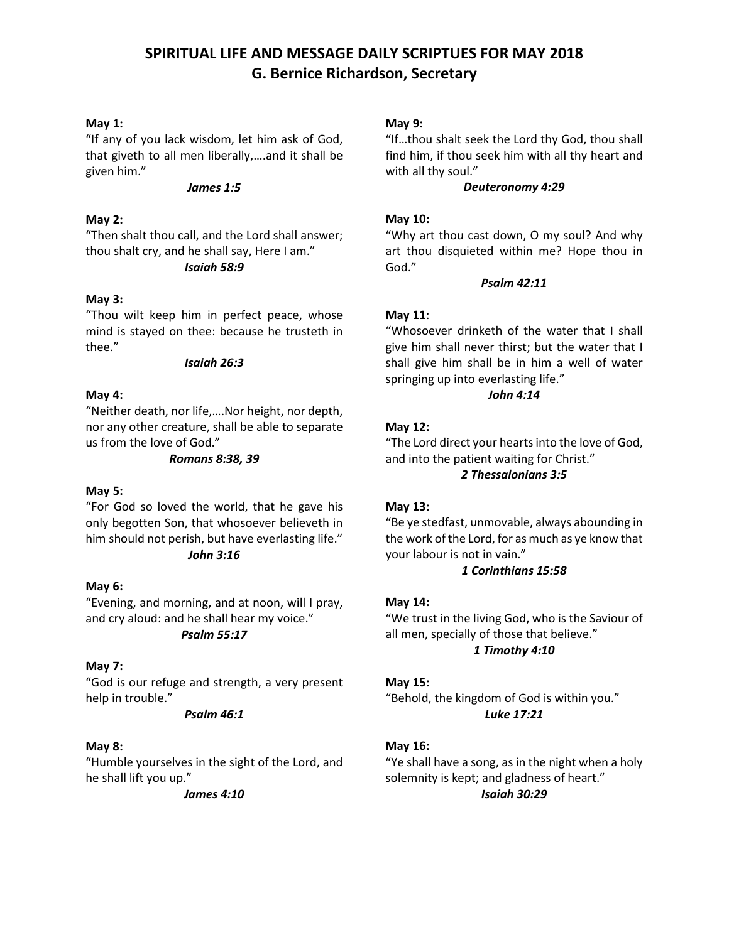## **SPIRITUAL LIFE AND MESSAGE DAILY SCRIPTUES FOR MAY 2018 G. Bernice Richardson, Secretary**

## **May 1:**

"If any of you lack wisdom, let him ask of God, that giveth to all men liberally,….and it shall be given him."

#### *James 1:5*

## **May 2:**

"Then shalt thou call, and the Lord shall answer; thou shalt cry, and he shall say, Here I am." *Isaiah 58:9*

#### **May 3:**

"Thou wilt keep him in perfect peace, whose mind is stayed on thee: because he trusteth in thee."

#### *Isaiah 26:3*

### **May 4:**

"Neither death, nor life,….Nor height, nor depth, nor any other creature, shall be able to separate us from the love of God."

#### *Romans 8:38, 39*

## **May 5:**

"For God so loved the world, that he gave his only begotten Son, that whosoever believeth in him should not perish, but have everlasting life." *John 3:16*

### **May 6:**

"Evening, and morning, and at noon, will I pray, and cry aloud: and he shall hear my voice."

## *Psalm 55:17*

## **May 7:**

"God is our refuge and strength, a very present help in trouble."

#### *Psalm 46:1*

## **May 8:**

"Humble yourselves in the sight of the Lord, and he shall lift you up."

*James 4:10*

#### **May 9:**

"If…thou shalt seek the Lord thy God, thou shall find him, if thou seek him with all thy heart and with all thy soul."

#### *Deuteronomy 4:29*

### **May 10:**

"Why art thou cast down, O my soul? And why art thou disquieted within me? Hope thou in God."

#### *Psalm 42:11*

### **May 11**:

"Whosoever drinketh of the water that I shall give him shall never thirst; but the water that I shall give him shall be in him a well of water springing up into everlasting life."

## *John 4:14*

#### **May 12:**

"The Lord direct your hearts into the love of God, and into the patient waiting for Christ."

## *2 Thessalonians 3:5*

#### **May 13:**

"Be ye stedfast, unmovable, always abounding in the work of the Lord, for as much as ye know that your labour is not in vain."

## *1 Corinthians 15:58*

#### **May 14:**

"We trust in the living God, who is the Saviour of all men, specially of those that believe." *1 Timothy 4:10*

#### **May 15:**

"Behold, the kingdom of God is within you." *Luke 17:21*

## **May 16:**

"Ye shall have a song, as in the night when a holy solemnity is kept; and gladness of heart." *Isaiah 30:29*